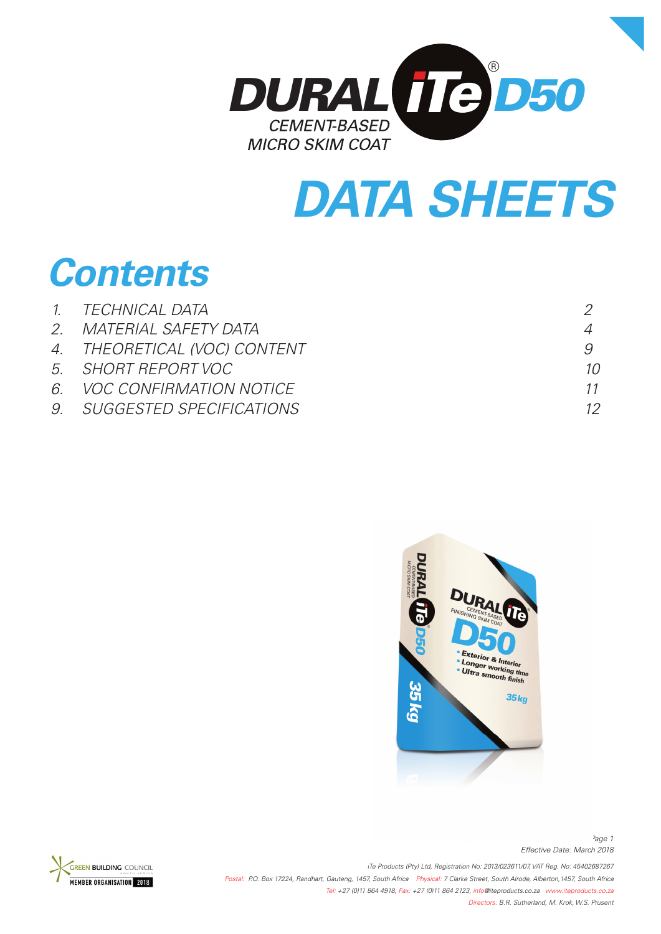

# *DATA SHEETS*

# *Contents*

| 1. TECHNICAL DATA            |    |
|------------------------------|----|
| 2. MATERIAL SAFETY DATA      |    |
| 4. THEORETICAL (VOC) CONTENT |    |
| 5. SHORT REPORT VOC          | 10 |
| 6. VOC CONFIRMATION NOTICE   | 11 |
| 9. SUGGESTED SPECIFICATIONS  |    |
|                              |    |





*iTe Products (Pty) Ltd, Registration No: 2013/023611/07, VAT Reg. No: 45402687267 Postal: P.O. Box 17224, Randhart, Gauteng, 1457, South Africa Physical: 7 Clarke Street, South Alrode, Alberton,1457, South Africa Tel: +27 (0)11 864 4918, Fax: +27 (0)11 864 2123, info@iteproducts.co.za www.iteproducts.co.za Directors: B.R. Sutherland, M. Krok, W.S. Prusent* 

*Effective Date: March 2018 Page 1*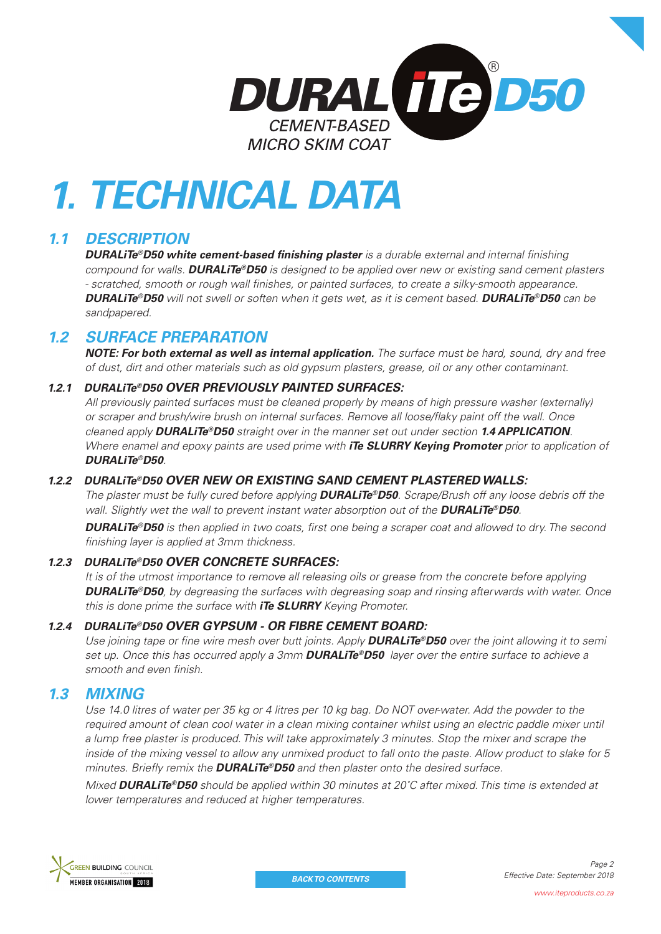

# *1. TECHNICAL DATA*

# *1.1 DESCRIPTION*

**DURALiTe®D50 white cement-based finishing plaster** is a durable external and internal finishing *compound for walls. DURALiTe®D50 is designed to be applied over new or existing sand cement plasters*  - scratched, smooth or rough wall finishes, or painted surfaces, to create a silky-smooth appearance. *DURALiTe®D50 will not swell or soften when it gets wet, as it is cement based. DURALiTe®D50 can be sandpapered.*

# *1.2 SURFACE PREPARATION*

*NOTE: For both external as well as internal application. The surface must be hard, sound, dry and free of dust, dirt and other materials such as old gypsum plasters, grease, oil or any other contaminant.*

## *1.2.1 DURALiTe®D50 OVER PREVIOUSLY PAINTED SURFACES:*

*All previously painted surfaces must be cleaned properly by means of high pressure washer (externally) or scraper and brush/wire brush on internal surfaces. Remove all loose/fl aky paint off the wall. Once cleaned apply DURALiTe®D50 straight over in the manner set out under section 1.4 APPLICATION. Where enamel and epoxy paints are used prime with iTe SLURRY Keying Promoter prior to application of DURALiTe®D50.*

## *1.2.2 DURALiTe®D50 OVER NEW OR EXISTING SAND CEMENT PLASTERED WALLS:*

*The plaster must be fully cured before applying DURALiTe®D50. Scrape/Brush off any loose debris off the wall. Slightly wet the wall to prevent instant water absorption out of the DURALiTe®D50.* 

**DURALITe®D50** is then applied in two coats, first one being a scraper coat and allowed to dry. The second *fi nishing layer is applied at 3mm thickness.*

### *1.2.3 DURALiTe®D50 OVER CONCRETE SURFACES:*

*It is of the utmost importance to remove all releasing oils or grease from the concrete before applying DURALiTe®D50, by degreasing the surfaces with degreasing soap and rinsing afterwards with water. Once this is done prime the surface with iTe SLURRY Keying Promoter.* 

### *1.2.4 DURALiTe®D50 OVER GYPSUM - OR FIBRE CEMENT BOARD:*

*Use joining tape or fine wire mesh over butt joints. Apply <i>DURALiTe®D50* over the joint allowing it to semi *set up. Once this has occurred apply a 3mm DURALiTe®D50 layer over the entire surface to achieve a*  smooth and even finish.

## *1.3 MIXING*

Use 14.0 litres of water per 35 kg or 4 litres per 10 kg bag. Do NOT over-water. Add the powder to the required amount of clean cool water in a clean mixing container whilst using an electric paddle mixer until *a lump free plaster is produced. This will take approximately 3 minutes. Stop the mixer and scrape the inside of the mixing vessel to allow any unmixed product to fall onto the paste. Allow product to slake for 5 minutes. Briefly remix the DURALiTe®D50 and then plaster onto the desired surface.* 

*Mixed DURALiTe®D50 should be applied within 30 minutes at 20˚C after mixed. This time is extended at lower temperatures and reduced at higher temperatures.* 

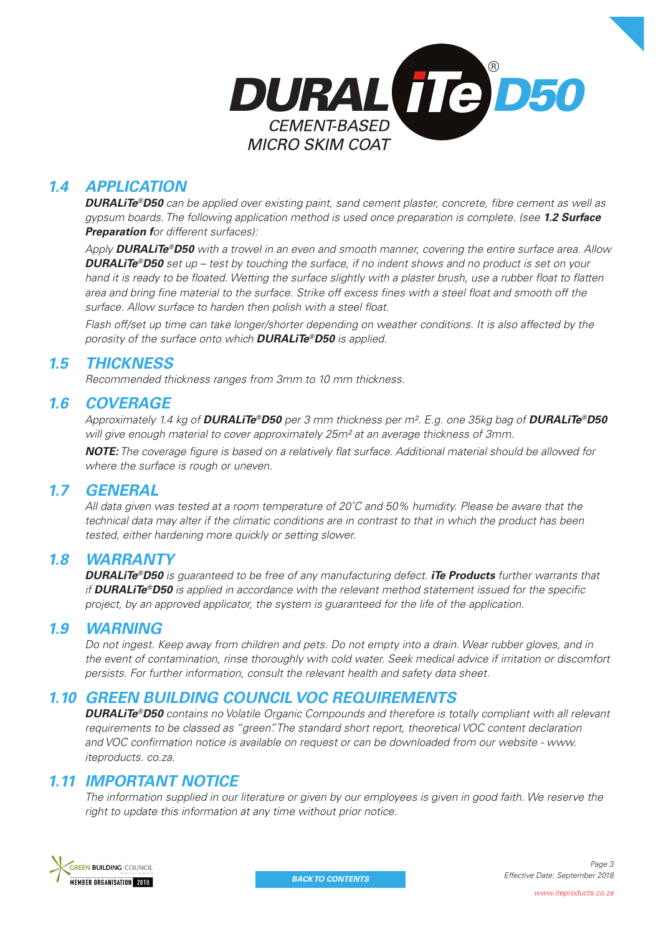

# *1.4 APPLICATION*

*DURALiTe®D50* can be applied over existing paint, sand cement plaster, concrete, fibre cement as well as *gypsum boards. The following application method is used once preparation is complete. (see 1.2 Surface Preparation for different surfaces):*

*Apply DURALiTe®D50 with a trowel in an even and smooth manner, covering the entire surface area. Allow DURALiTe®D50 set up – test by touching the surface, if no indent shows and no product is set on your hand it is ready to be floated. Wetting the surface slightly with a plaster brush, use a rubber float to flatten* area and bring fine material to the surface. Strike off excess fines with a steel float and smooth off the surface. Allow surface to harden then polish with a steel float.

*Flash off/set up time can take longer/shorter depending on weather conditions. It is also affected by the porosity of the surface onto which DURALiTe®D50 is applied.*

# *1.5 THICKNESS*

*Recommended thickness ranges from 3mm to 10 mm thickness.*

# *1.6 COVERAGE*

*Approximately 1.4 kg of DURALiTe®D50 per 3 mm thickness per m². E.g. one 35kg bag of DURALiTe®D50 will give enough material to cover approximately 25m² at an average thickness of 3mm.* 

**NOTE:** The coverage figure is based on a relatively flat surface. Additional material should be allowed for *where the surface is rough or uneven.* 

## *1.7 GENERAL*

*All data given was tested at a room temperature of 20˚C and 50% humidity. Please be aware that the technical data may alter if the climatic conditions are in contrast to that in which the product has been tested, either hardening more quickly or setting slower.* 

## *1.8 WARRANTY*

*DURALiTe®D50 is guaranteed to be free of any manufacturing defect. iTe Products further warrants that if DURALiTe®D50* is applied in accordance with the relevant method statement issued for the specific *project, by an approved applicator, the system is guaranteed for the life of the application.* 

## *1.9 WARNING*

*Do not ingest. Keep away from children and pets. Do not empty into a drain. Wear rubber gloves, and in the event of contamination, rinse thoroughly with cold water. Seek medical advice if irritation or discomfort persists. For further information, consult the relevant health and safety data sheet.* 

## *1.10 GREEN BUILDING COUNCIL VOC REQUIREMENTS*

*DURALiTe®D50 contains no Volatile Organic Compounds and therefore is totally compliant with all relevant requirements to be classed as "green". The standard short report, theoretical VOC content declaration*  and VOC confirmation notice is available on request or can be downloaded from our website - www. *iteproducts. co.za.* 

## *1.11 IMPORTANT NOTICE*

*The information supplied in our literature or given by our employees is given in good faith. We reserve the right to update this information at any time without prior notice.*

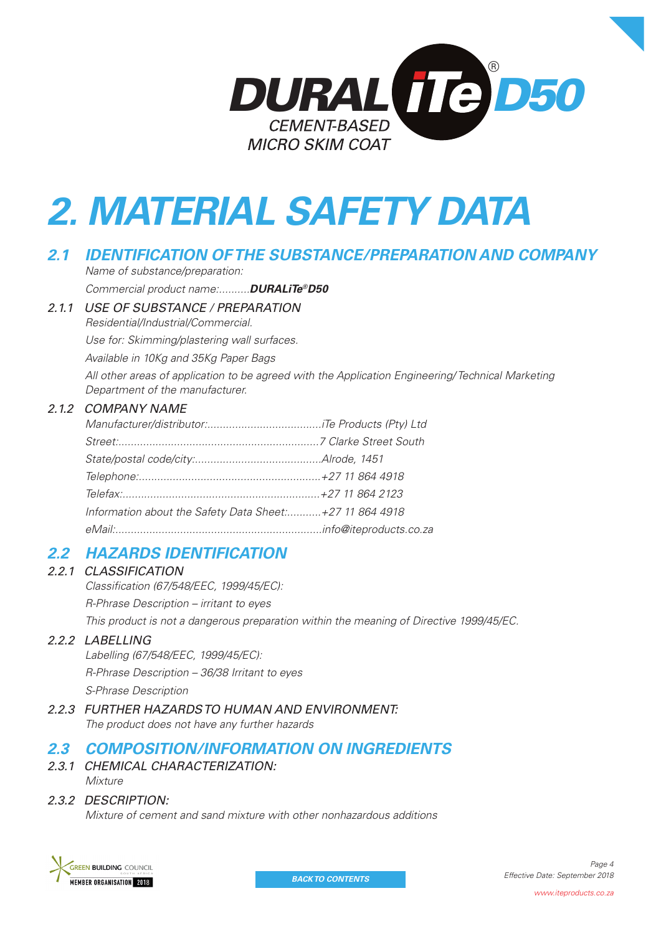

# *2. MATERIAL SAFETY DATA*

# *2.1 IDENTIFICATION OF THE SUBSTANCE/PREPARATION AND COMPANY*

*Name of substance/preparation: Commercial product name:..........DURALiTe®D50*

*2.1.1 USE OF SUBSTANCE / PREPARATION*

*Residential/Industrial/Commercial. Use for: Skimming/plastering wall surfaces. Available in 10Kg and 35Kg Paper Bags All other areas of application to be agreed with the Application Engineering/ Technical Marketing Department of the manufacturer.*

## *2.1.2 COMPANY NAME*

| Information about the Safety Data Sheet: +27 11 864 4918 |  |
|----------------------------------------------------------|--|
|                                                          |  |

# *2.2 HAZARDS IDENTIFICATION*

### *2.2.1 CLASSIFICATION*

*Classifi cation (67/548/EEC, 1999/45/EC):*

*R-Phrase Description – irritant to eyes*

*This product is not a dangerous preparation within the meaning of Directive 1999/45/EC.*

### *2.2.2 LABELLING*

*Labelling (67/548/EEC, 1999/45/EC): R-Phrase Description – 36/38 Irritant to eyes S-Phrase Description*

*2.2.3 FURTHER HAZARDS TO HUMAN AND ENVIRONMENT: The product does not have any further hazards*

# *2.3 COMPOSITION/INFORMATION ON INGREDIENTS*

*2.3.1 CHEMICAL CHARACTERIZATION: Mixture*

## *2.3.2 DESCRIPTION:*

*Mixture of cement and sand mixture with other nonhazardous additions*

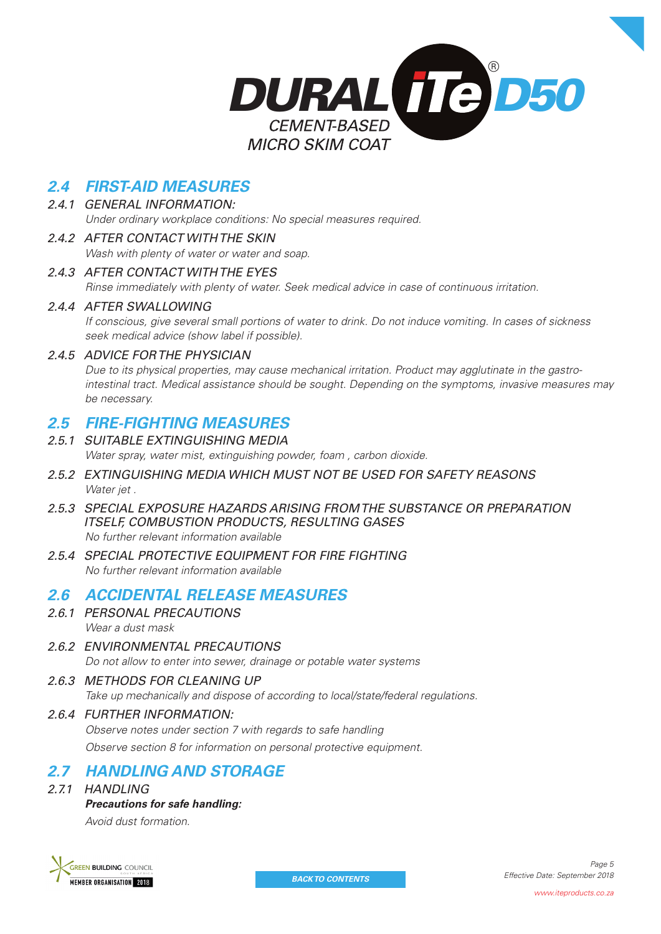

# *2.4 FIRST-AID MEASURES*

#### *2.4.1 GENERAL INFORMATION: Under ordinary workplace conditions: No special measures required.*

# *2.4.2 AFTER CONTACT WITH THE SKIN*

*Wash with plenty of water or water and soap.*

## *2.4.3 AFTER CONTACT WITH THE EYES*

*Rinse immediately with plenty of water. Seek medical advice in case of continuous irritation.*

## *2.4.4 AFTER SWALLOWING*

*If conscious, give several small portions of water to drink. Do not induce vomiting. In cases of sickness seek medical advice (show label if possible).*

### *2.4.5 ADVICE FOR THE PHYSICIAN*

*Due to its physical properties, may cause mechanical irritation. Product may agglutinate in the gastrointestinal tract. Medical assistance should be sought. Depending on the symptoms, invasive measures may be necessary.*

## *2.5 FIRE-FIGHTING MEASURES*

- *2.5.1 SUITABLE EXTINGUISHING MEDIA Water spray, water mist, extinguishing powder, foam , carbon dioxide.*
- *2.5.2 EXTINGUISHING MEDIA WHICH MUST NOT BE USED FOR SAFETY REASONS Water jet .*
- *2.5.3 SPECIAL EXPOSURE HAZARDS ARISING FROM THE SUBSTANCE OR PREPARATION ITSELF, COMBUSTION PRODUCTS, RESULTING GASES No further relevant information available*
- *2.5.4 SPECIAL PROTECTIVE EQUIPMENT FOR FIRE FIGHTING No further relevant information available*

# *2.6 ACCIDENTAL RELEASE MEASURES*

- *2.6.1 PERSONAL PRECAUTIONS Wear a dust mask*
- *2.6.2 ENVIRONMENTAL PRECAUTIONS Do not allow to enter into sewer, drainage or potable water systems*
- *2.6.3 METHODS FOR CLEANING UP Take up mechanically and dispose of according to local/state/federal regulations.*
- *2.6.4 FURTHER INFORMATION: Observe notes under section 7 with regards to safe handling Observe section 8 for information on personal protective equipment.*

# *2.7 HANDLING AND STORAGE*

*2.7.1 HANDLING*

## *Precautions for safe handling:*

*Avoid dust formation.*

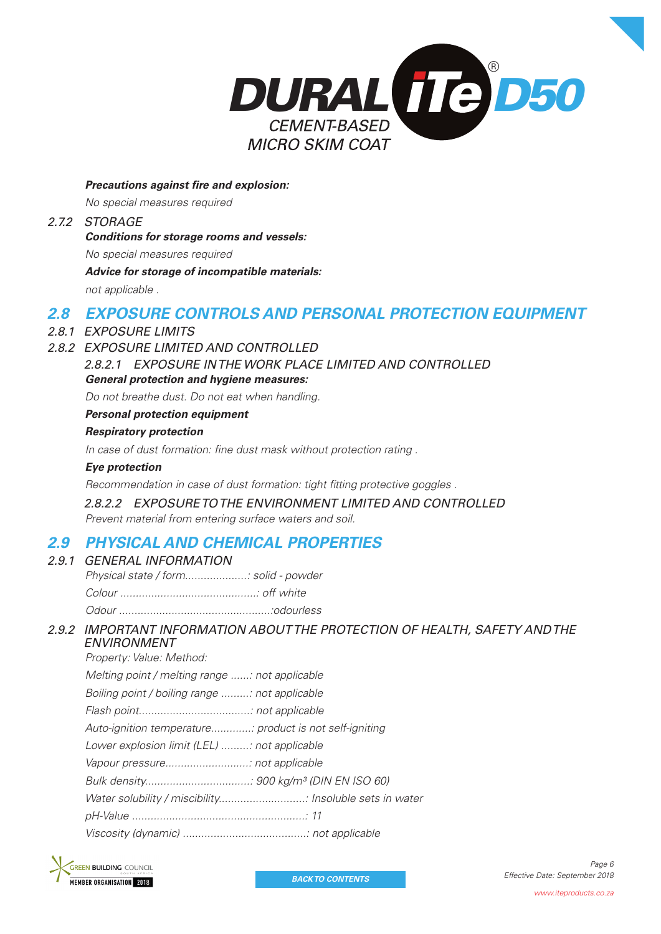

**Precautions against fire and explosion:** 

*No special measures required*

# *2.7.2 STORAGE*

*Conditions for storage rooms and vessels:*

*No special measures required*

*Advice for storage of incompatible materials:*

*not applicable .*

# *2.8 EXPOSURE CONTROLS AND PERSONAL PROTECTION EQUIPMENT*

- *2.8.1 EXPOSURE LIMITS*
- *2.8.2 EXPOSURE LIMITED AND CONTROLLED*

*2.8.2.1 EXPOSURE IN THE WORK PLACE LIMITED AND CONTROLLED General protection and hygiene measures:*

*Do not breathe dust. Do not eat when handling.*

#### *Personal protection equipment*

#### *Respiratory protection*

In case of dust formation: fine dust mask without protection rating .

#### *Eye protection*

*Recommendation in case of dust formation: tight fi tting protective goggles .*

*2.8.2.2 EXPOSURE TO THE ENVIRONMENT LIMITED AND CONTROLLED*

*Prevent material from entering surface waters and soil.*

# *2.9 PHYSICAL AND CHEMICAL PROPERTIES*

| 2.9.1 GENERAL INFORMATION            |  |
|--------------------------------------|--|
| Physical state / form solid - powder |  |
|                                      |  |
|                                      |  |
|                                      |  |

## *2.9.2 IMPORTANT INFORMATION ABOUT THE PROTECTION OF HEALTH, SAFETY AND THE ENVIRONMENT*

*Property: Value: Method:*

| Melting point / melting range : not applicable          |
|---------------------------------------------------------|
| Boiling point / boiling range : not applicable          |
|                                                         |
| Auto-ignition temperature: product is not self-igniting |
| Lower explosion limit (LEL) : not applicable            |
|                                                         |
|                                                         |
| Water solubility / miscibility Insoluble sets in water  |
|                                                         |
|                                                         |
|                                                         |

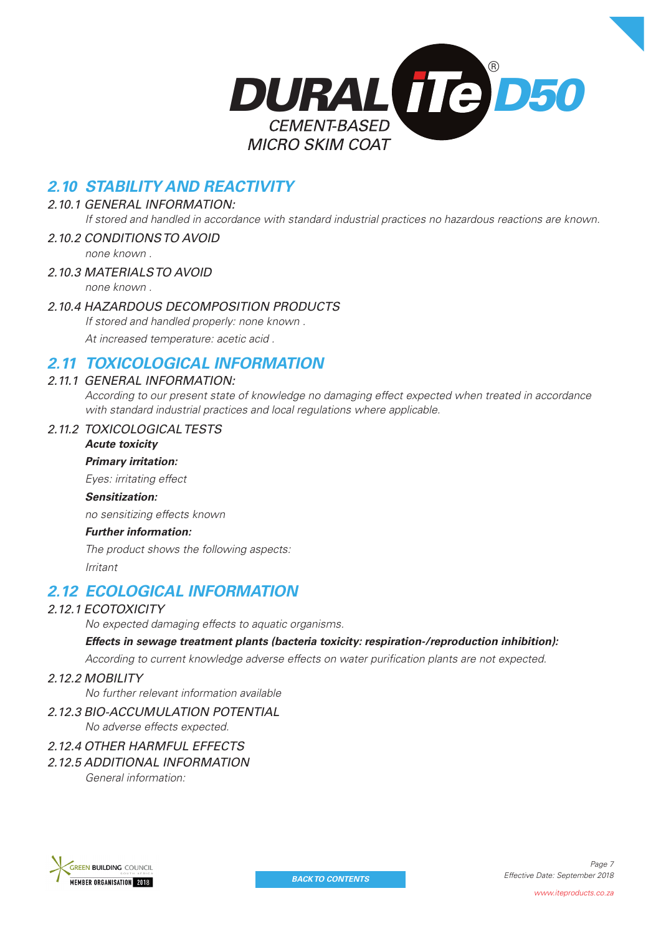

# *2.10 STABILITY AND REACTIVITY*

### *2.10.1 GENERAL INFORMATION:*

*If stored and handled in accordance with standard industrial practices no hazardous reactions are known.*

#### *2.10.2 CONDITIONS TO AVOID*

*none known .*

#### *2.10.3 MATERIALS TO AVOID none known .*

## *2.10.4 HAZARDOUS DECOMPOSITION PRODUCTS*

*If stored and handled properly: none known . At increased temperature: acetic acid .*

# *2.11 TOXICOLOGICAL INFORMATION*

#### *2.11.1 GENERAL INFORMATION:*

*According to our present state of knowledge no damaging effect expected when treated in accordance with standard industrial practices and local regulations where applicable.* 

#### *2.11.2 TOXICOLOGICAL TESTS*

*Acute toxicity Primary irritation:*

*Eyes: irritating effect*

#### *Sensitization:*

*no sensitizing effects known*

#### *Further information:*

*The product shows the following aspects: Irritant*

# *2.12 ECOLOGICAL INFORMATION*

## *2.12.1 ECOTOXICITY*

*No expected damaging effects to aquatic organisms.*

#### *Effects in sewage treatment plants (bacteria toxicity: respiration-/reproduction inhibition):*

According to current knowledge adverse effects on water purification plants are not expected.

#### *2.12.2 MOBILITY*

*No further relevant information available*

*2.12.3 BIO-ACCUMULATION POTENTIAL No adverse effects expected.*

## *2.12.4 OTHER HARMFUL EFFECTS*

*2.12.5 ADDITIONAL INFORMATION General information:*

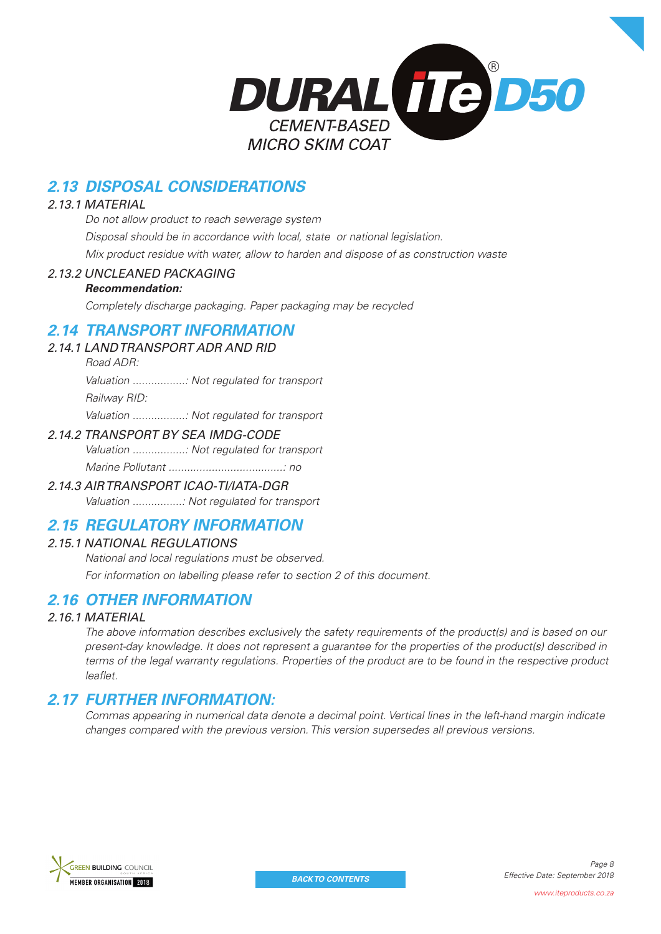

# *2.13 DISPOSAL CONSIDERATIONS*

### *2.13.1 MATERIAL*

*Do not allow product to reach sewerage system Disposal should be in accordance with local, state or national legislation. Mix product residue with water, allow to harden and dispose of as construction waste*

## *2.13.2 UNCLEANED PACKAGING*

### *Recommendation:*

*Completely discharge packaging. Paper packaging may be recycled* 

## *2.14 TRANSPORT INFORMATION*

- *2.14.1 LAND TRANSPORT ADR AND RID*
	- *Road ADR: Valuation .................: Not regulated for transport Railway RID: Valuation .................: Not regulated for transport*

## *2.14.2 TRANSPORT BY SEA IMDG-CODE*

*Valuation .................: Not regulated for transport Marine Pollutant .....................................: no*

## *2.14.3 AIR TRANSPORT ICAO-TI/IATA-DGR*

*Valuation ................: Not regulated for transport*

# *2.15 REGULATORY INFORMATION*

## *2.15.1 NATIONAL REGULATIONS*

*National and local regulations must be observed. For information on labelling please refer to section 2 of this document.*

# *2.16 OTHER INFORMATION*

## *2.16.1 MATERIAL*

*The above information describes exclusively the safety requirements of the product(s) and is based on our present-day knowledge. It does not represent a guarantee for the properties of the product(s) described in terms of the legal warranty regulations. Properties of the product are to be found in the respective product leaflet* 

# *2.17 FURTHER INFORMATION:*

*Commas appearing in numerical data denote a decimal point. Vertical lines in the left-hand margin indicate changes compared with the previous version. This version supersedes all previous versions.*

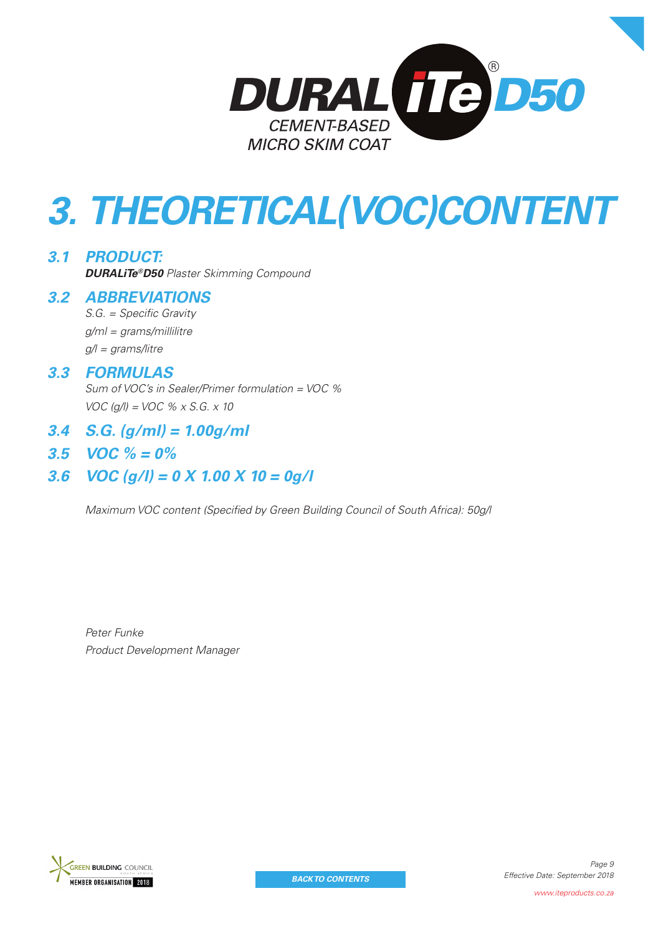

# *3. THEORETICAL(VOC)CONTENT*

*3.1 PRODUCT: DURALiTe®D50 Plaster Skimming Compound*

## *3.2 ABBREVIATIONS*

 $S.G. = Specific Gravity$ *g/ml = grams/millilitre g/l = grams/litre*

## *3.3 FORMULAS*

*Sum of VOC's in Sealer/Primer formulation = VOC % VOC (g/l) = VOC % x S.G. x 10*

- *3.4 S.G. (g/ml) = 1.00g/ml*
- *3.5 VOC % = 0%*

# *3.6 VOC (g/l) = 0 X 1.00 X 10 = 0g/l*

*Maximum VOC content (Specified by Green Building Council of South Africa): 50g/l* 

*Peter Funke Product Development Manager*

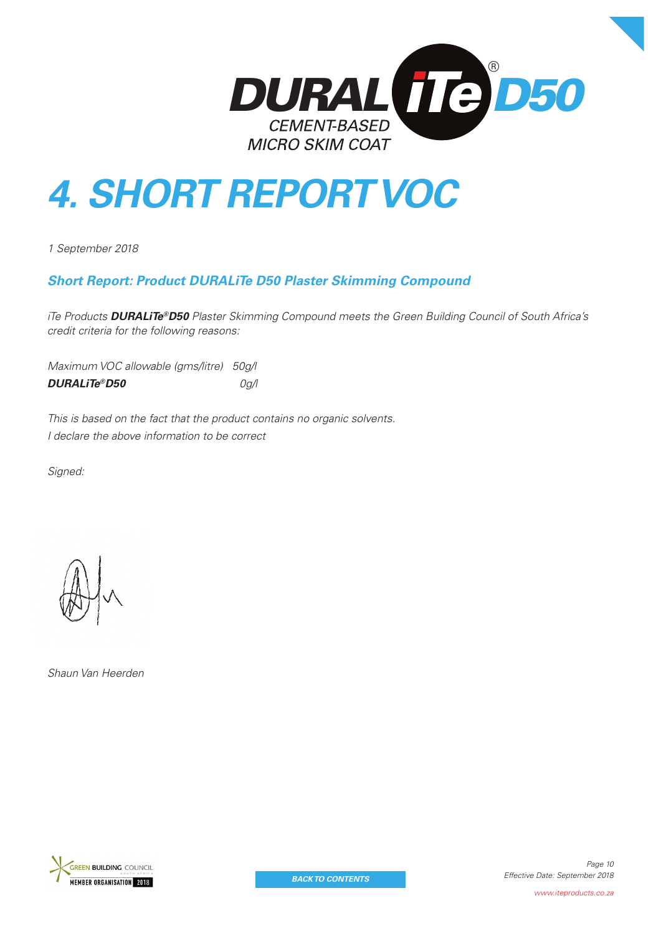

# *4. SHORT REPORT VOC*

*1 September 2018*

## *Short Report: Product DURALiTe D50 Plaster Skimming Compound*

*iTe Products DURALiTe®D50 Plaster Skimming Compound meets the Green Building Council of South Africa's credit criteria for the following reasons:*

*Maximum VOC allowable (gms/litre) 50g/l DURALiTe®D50 0g/l*

*This is based on the fact that the product contains no organic solvents. I declare the above information to be correct*

*Signed:*



*Shaun Van Heerden*

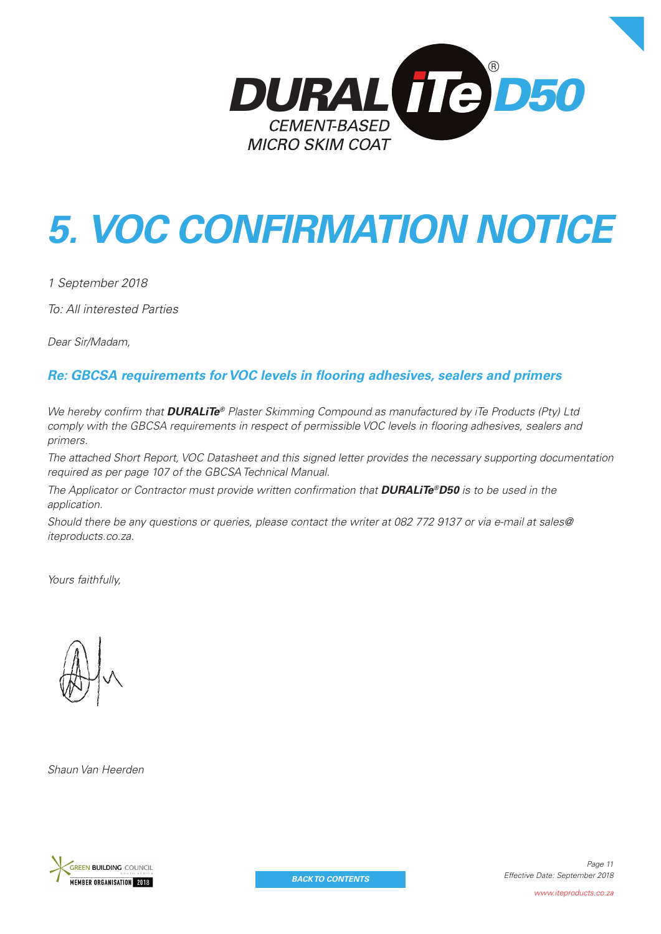

# *5. VOC CONFIRMATION NOTICE*

*1 September 2018*

*To: All interested Parties*

*Dear Sir/Madam,*

# **Re: GBCSA requirements for VOC levels in flooring adhesives, sealers and primers**

*We hereby confirm that DURALiTe® Plaster Skimming Compound as manufactured by iTe Products (Pty) Ltd comply with the GBCSA requirements in respect of permissible VOC levels in flooring adhesives, sealers and primers.*

*The attached Short Report, VOC Datasheet and this signed letter provides the necessary supporting documentation required as per page 107 of the GBCSA Technical Manual.*

*The Applicator or Contractor must provide written confirmation that DURALiTe®D50 is to be used in the application.*

*Should there be any questions or queries, please contact the writer at 082 772 9137 or via e-mail at sales@ iteproducts.co.za.*

*Yours faithfully,*

*Shaun Van Heerden*